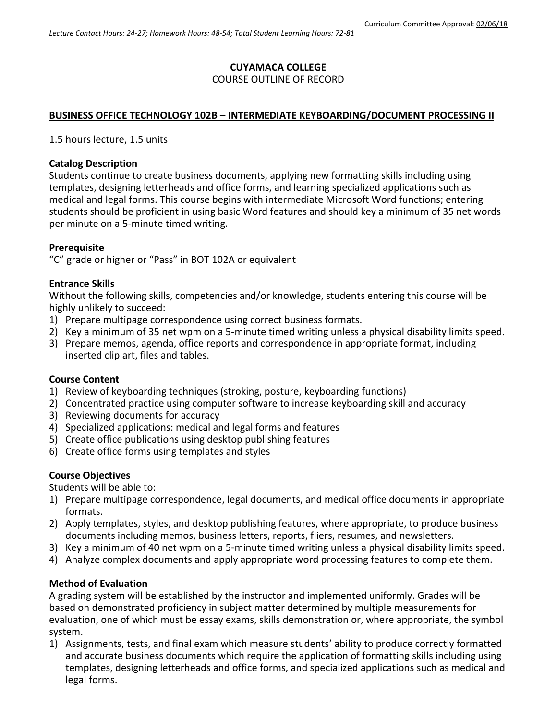# **CUYAMACA COLLEGE**

### COURSE OUTLINE OF RECORD

# **BUSINESS OFFICE TECHNOLOGY 102B – INTERMEDIATE KEYBOARDING/DOCUMENT PROCESSING II**

1.5 hours lecture, 1.5 units

#### **Catalog Description**

Students continue to create business documents, applying new formatting skills including using templates, designing letterheads and office forms, and learning specialized applications such as medical and legal forms. This course begins with intermediate Microsoft Word functions; entering students should be proficient in using basic Word features and should key a minimum of 35 net words per minute on a 5-minute timed writing.

#### **Prerequisite**

"C" grade or higher or "Pass" in BOT 102A or equivalent

#### **Entrance Skills**

Without the following skills, competencies and/or knowledge, students entering this course will be highly unlikely to succeed:

- 1) Prepare multipage correspondence using correct business formats.
- 2) Key a minimum of 35 net wpm on a 5-minute timed writing unless a physical disability limits speed.
- 3) Prepare memos, agenda, office reports and correspondence in appropriate format, including inserted clip art, files and tables.

#### **Course Content**

- 1) Review of keyboarding techniques (stroking, posture, keyboarding functions)
- 2) Concentrated practice using computer software to increase keyboarding skill and accuracy
- 3) Reviewing documents for accuracy
- 4) Specialized applications: medical and legal forms and features
- 5) Create office publications using desktop publishing features
- 6) Create office forms using templates and styles

#### **Course Objectives**

Students will be able to:

- 1) Prepare multipage correspondence, legal documents, and medical office documents in appropriate formats.
- 2) Apply templates, styles, and desktop publishing features, where appropriate, to produce business documents including memos, business letters, reports, fliers, resumes, and newsletters.
- 3) Key a minimum of 40 net wpm on a 5-minute timed writing unless a physical disability limits speed.
- 4) Analyze complex documents and apply appropriate word processing features to complete them.

#### **Method of Evaluation**

A grading system will be established by the instructor and implemented uniformly. Grades will be based on demonstrated proficiency in subject matter determined by multiple measurements for evaluation, one of which must be essay exams, skills demonstration or, where appropriate, the symbol system.

1) Assignments, tests, and final exam which measure students' ability to produce correctly formatted and accurate business documents which require the application of formatting skills including using templates, designing letterheads and office forms, and specialized applications such as medical and legal forms.